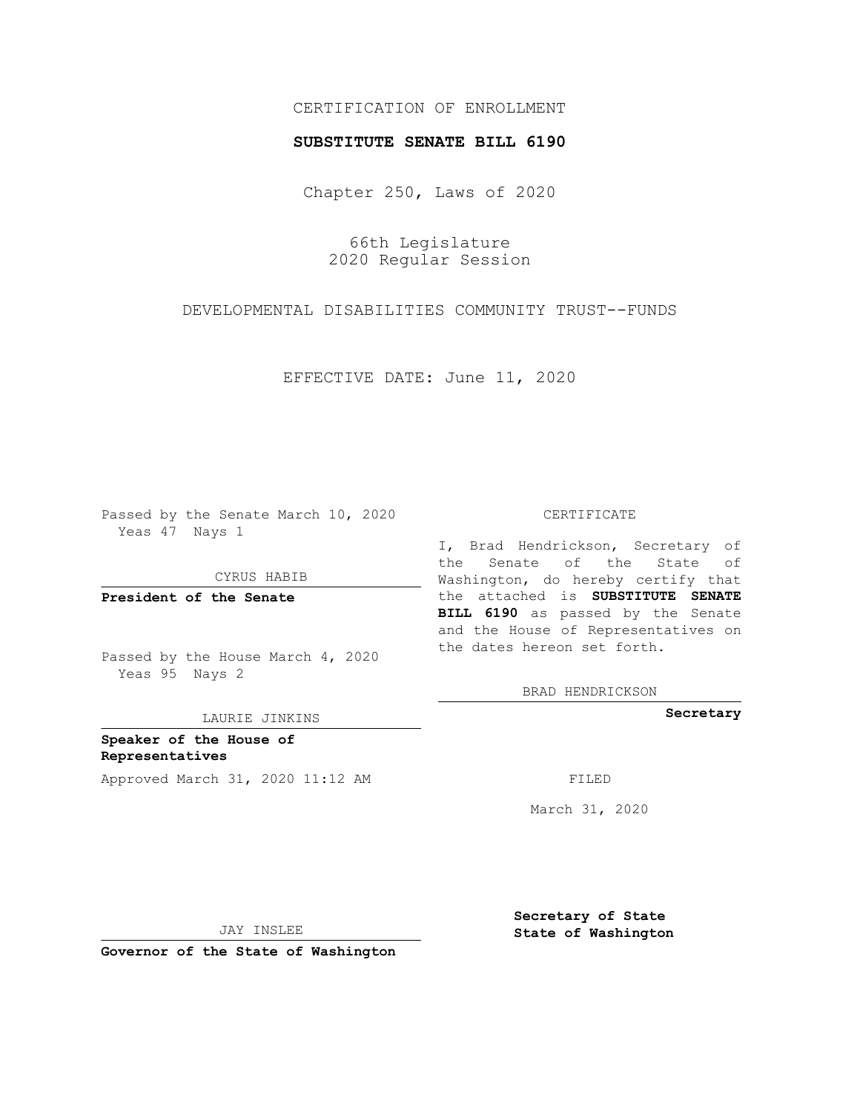# CERTIFICATION OF ENROLLMENT

### **SUBSTITUTE SENATE BILL 6190**

Chapter 250, Laws of 2020

66th Legislature 2020 Regular Session

DEVELOPMENTAL DISABILITIES COMMUNITY TRUST--FUNDS

EFFECTIVE DATE: June 11, 2020

Passed by the Senate March 10, 2020 Yeas 47 Nays 1

CYRUS HABIB

**President of the Senate**

Passed by the House March 4, 2020 Yeas 95 Nays 2

LAURIE JINKINS

**Speaker of the House of Representatives** Approved March 31, 2020 11:12 AM FILED

#### CERTIFICATE

I, Brad Hendrickson, Secretary of the Senate of the State of Washington, do hereby certify that the attached is **SUBSTITUTE SENATE BILL 6190** as passed by the Senate and the House of Representatives on the dates hereon set forth.

BRAD HENDRICKSON

**Secretary**

March 31, 2020

JAY INSLEE

**Governor of the State of Washington**

**Secretary of State State of Washington**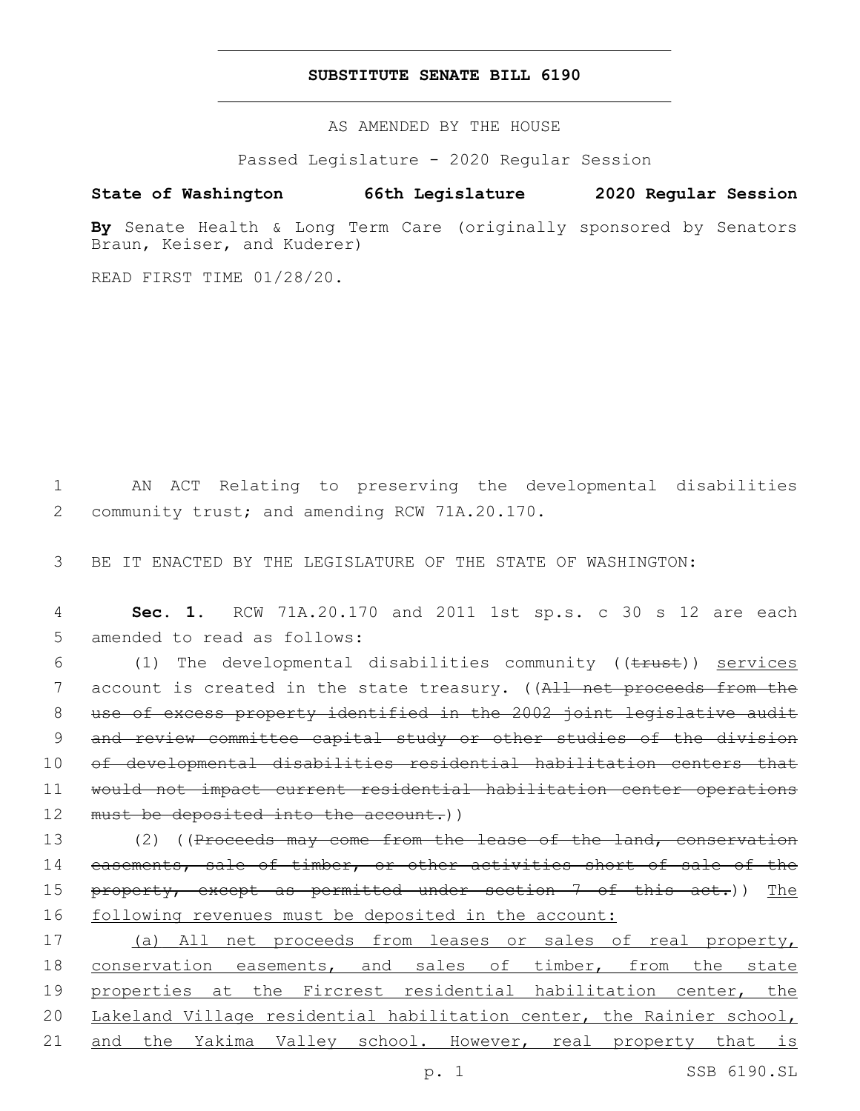## **SUBSTITUTE SENATE BILL 6190**

AS AMENDED BY THE HOUSE

Passed Legislature - 2020 Regular Session

# **State of Washington 66th Legislature 2020 Regular Session**

**By** Senate Health & Long Term Care (originally sponsored by Senators Braun, Keiser, and Kuderer)

READ FIRST TIME 01/28/20.

1 AN ACT Relating to preserving the developmental disabilities 2 community trust; and amending RCW 71A.20.170.

3 BE IT ENACTED BY THE LEGISLATURE OF THE STATE OF WASHINGTON:

4 **Sec. 1.** RCW 71A.20.170 and 2011 1st sp.s. c 30 s 12 are each 5 amended to read as follows:

6 (1) The developmental disabilities community ((trust)) services 7 account is created in the state treasury. ((All net proceeds from the 8 use of excess property identified in the 2002 joint legislative audit 9 and review committee capital study or other studies of the division 10 of developmental disabilities residential habilitation centers that 11 would not impact current residential habilitation center operations 12 must be deposited into the account.))

13 (2) ((Proceeds may come from the lease of the land, conservation 14 easements, sale of timber, or other activities short of sale of the 15 property, except as permitted under section 7 of this act.)) The 16 following revenues must be deposited in the account:

 (a) All net proceeds from leases or sales of real property, conservation easements, and sales of timber, from the state properties at the Fircrest residential habilitation center, the Lakeland Village residential habilitation center, the Rainier school, 21 and the Yakima Valley school. However, real property that is

p. 1 SSB 6190.SL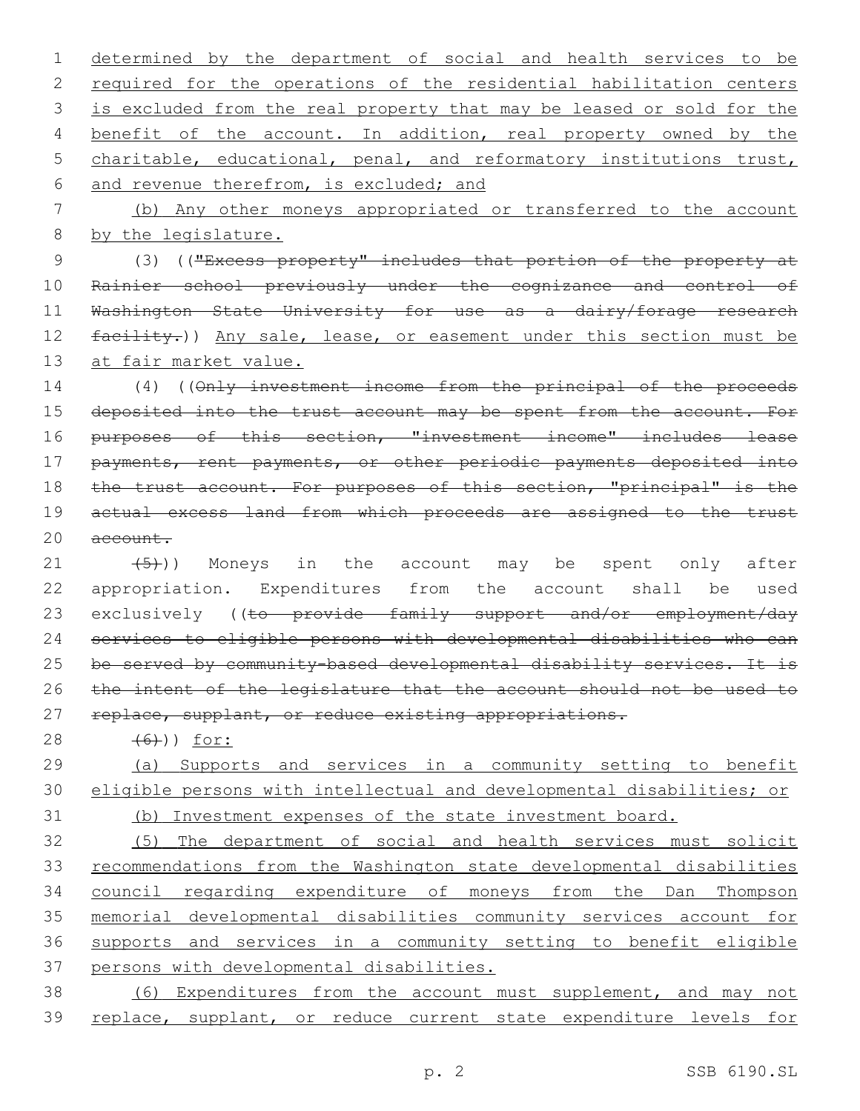determined by the department of social and health services to be 2 required for the operations of the residential habilitation centers is excluded from the real property that may be leased or sold for the 4 benefit of the account. In addition, real property owned by the charitable, educational, penal, and reformatory institutions trust, 6 and revenue therefrom, is excluded; and (b) Any other moneys appropriated or transferred to the account by the legislature. (3) (("Excess property" includes that portion of the property at Rainier school previously under the cognizance and control of Washington State University for use as a dairy/forage research 12 facility.)) Any sale, lease, or easement under this section must be 13 at fair market value. (4) ((Only investment income from the principal of the proceeds 15 deposited into the trust account may be spent from the account. For 16 purposes of this section, "investment income" includes lease payments, rent payments, or other periodic payments deposited into 18 the trust account. For purposes of this section, "principal" is the actual excess land from which proceeds are assigned to the trust 20 account.  $(21 \t {5})$ ) Moneys in the account may be spent only after appropriation. Expenditures from the account shall be used 23 exclusively ((to provide family support and/or employment/day services to eligible persons with developmental disabilities who can 25 be served by community-based developmental disability services. It is the intent of the legislature that the account should not be used to 27 replace, supplant, or reduce existing appropriations. 28 (6)) for: (a) Supports and services in a community setting to benefit eligible persons with intellectual and developmental disabilities; or (b) Investment expenses of the state investment board. (5) The department of social and health services must solicit recommendations from the Washington state developmental disabilities council regarding expenditure of moneys from the Dan Thompson memorial developmental disabilities community services account for supports and services in a community setting to benefit eligible

37 persons with developmental disabilities.

38 (6) Expenditures from the account must supplement, and may not 39 replace, supplant, or reduce current state expenditure levels for